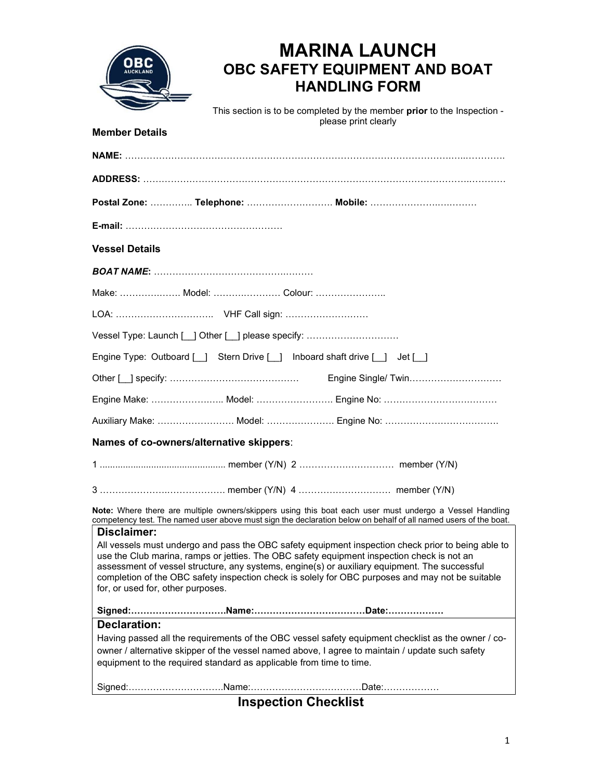

Member Details

# MARINA LAUNCH OBC SAFETY EQUIPMENT AND BOAT HANDLING FORM

This section is to be completed by the member prior to the Inspection please print clearly

| Postal Zone:  Telephone:  Mobile:                                                                                                                                                                                                                                                                                                                                                                                                                         |  |  |
|-----------------------------------------------------------------------------------------------------------------------------------------------------------------------------------------------------------------------------------------------------------------------------------------------------------------------------------------------------------------------------------------------------------------------------------------------------------|--|--|
|                                                                                                                                                                                                                                                                                                                                                                                                                                                           |  |  |
| <b>Vessel Details</b>                                                                                                                                                                                                                                                                                                                                                                                                                                     |  |  |
|                                                                                                                                                                                                                                                                                                                                                                                                                                                           |  |  |
| Make:  Model:  Colour:                                                                                                                                                                                                                                                                                                                                                                                                                                    |  |  |
|                                                                                                                                                                                                                                                                                                                                                                                                                                                           |  |  |
| Vessel Type: Launch [ ] Other [ ] please specify:                                                                                                                                                                                                                                                                                                                                                                                                         |  |  |
| Engine Type: Outboard [ ] Stern Drive [ ] Inboard shaft drive [ ] Jet [ ]                                                                                                                                                                                                                                                                                                                                                                                 |  |  |
|                                                                                                                                                                                                                                                                                                                                                                                                                                                           |  |  |
| Engine Make:  Model:  Engine No:                                                                                                                                                                                                                                                                                                                                                                                                                          |  |  |
|                                                                                                                                                                                                                                                                                                                                                                                                                                                           |  |  |
| Names of co-owners/alternative skippers:                                                                                                                                                                                                                                                                                                                                                                                                                  |  |  |
|                                                                                                                                                                                                                                                                                                                                                                                                                                                           |  |  |
|                                                                                                                                                                                                                                                                                                                                                                                                                                                           |  |  |
| Note: Where there are multiple owners/skippers using this boat each user must undergo a Vessel Handling<br>competency test. The named user above must sign the declaration below on behalf of all named users of the boat.                                                                                                                                                                                                                                |  |  |
| Disclaimer:<br>All vessels must undergo and pass the OBC safety equipment inspection check prior to being able to<br>use the Club marina, ramps or jetties. The OBC safety equipment inspection check is not an<br>assessment of vessel structure, any systems, engine(s) or auxiliary equipment. The successful<br>completion of the OBC safety inspection check is solely for OBC purposes and may not be suitable<br>for, or used for, other purposes. |  |  |
| <b>Declaration:</b>                                                                                                                                                                                                                                                                                                                                                                                                                                       |  |  |
| Having passed all the requirements of the OBC vessel safety equipment checklist as the owner / co-<br>owner / alternative skipper of the vessel named above, I agree to maintain / update such safety<br>equipment to the required standard as applicable from time to time.                                                                                                                                                                              |  |  |
|                                                                                                                                                                                                                                                                                                                                                                                                                                                           |  |  |

Inspection Checklist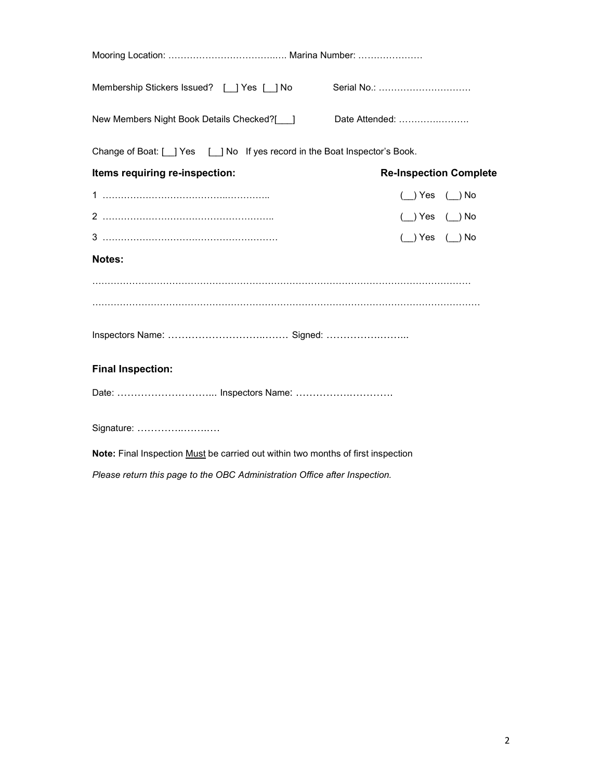| Membership Stickers Issued? [ ] Yes [ ] No                                       | Serial No.:                   |  |  |  |
|----------------------------------------------------------------------------------|-------------------------------|--|--|--|
| New Members Night Book Details Checked?[ ]                                       | Date Attended:                |  |  |  |
| Change of Boat: [ ] Yes [ ] No If yes record in the Boat Inspector's Book.       |                               |  |  |  |
| Items requiring re-inspection:                                                   | <b>Re-Inspection Complete</b> |  |  |  |
|                                                                                  | $(\_)$ Yes $(\_)$ No          |  |  |  |
|                                                                                  | ( ) Yes ( ) No                |  |  |  |
|                                                                                  | $( )$ Yes $( )$ No            |  |  |  |
| Notes:                                                                           |                               |  |  |  |
|                                                                                  |                               |  |  |  |
|                                                                                  |                               |  |  |  |
|                                                                                  |                               |  |  |  |
| <b>Final Inspection:</b>                                                         |                               |  |  |  |
| Date:  Inspectors Name:                                                          |                               |  |  |  |
| Signature:                                                                       |                               |  |  |  |
| Note: Final Inspection Must be carried out within two months of first inspection |                               |  |  |  |
| Please return this page to the OBC Administration Office after Inspection.       |                               |  |  |  |
|                                                                                  |                               |  |  |  |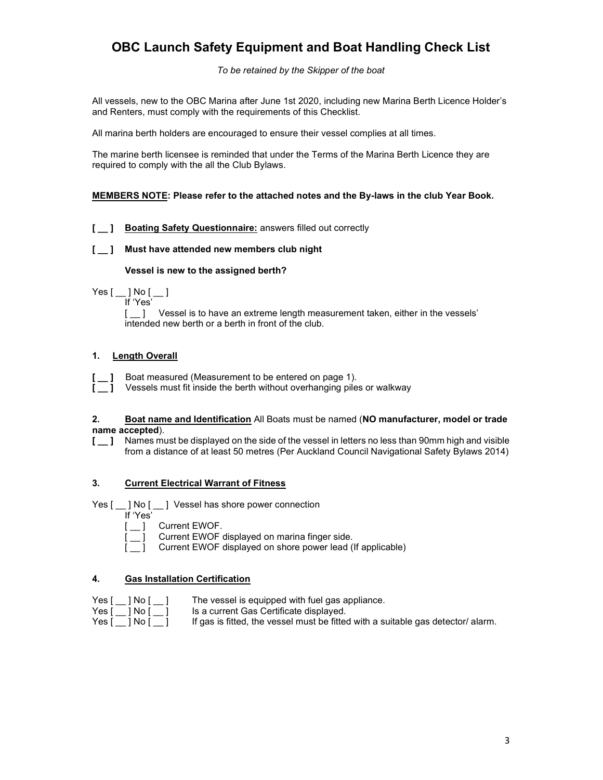# OBC Launch Safety Equipment and Boat Handling Check List

To be retained by the Skipper of the boat

All vessels, new to the OBC Marina after June 1st 2020, including new Marina Berth Licence Holder's and Renters, must comply with the requirements of this Checklist.

All marina berth holders are encouraged to ensure their vessel complies at all times.

The marine berth licensee is reminded that under the Terms of the Marina Berth Licence they are required to comply with the all the Club Bylaws.

## MEMBERS NOTE: Please refer to the attached notes and the By-laws in the club Year Book.

# [  $\Box$  ] Boating Safety Questionnaire: answers filled out correctly

# [  $\Box$  ] Must have attended new members club night

## Vessel is new to the assigned berth?

Yes [ \_\_ ] No [ \_\_ ] If 'Yes'

[  $\Box$  ] Vessel is to have an extreme length measurement taken, either in the vessels' intended new berth or a berth in front of the club.

# 1. Length Overall

Boat measured (Measurement to be entered on page 1).

Vessels must fit inside the berth without overhanging piles or walkway

#### 2. Boat name and Identification All Boats must be named (NO manufacturer, model or trade name accepted).

[  $\Box$  ] Names must be displayed on the side of the vessel in letters no less than 90mm high and visible from a distance of at least 50 metres (Per Auckland Council Navigational Safety Bylaws 2014)

## 3. Current Electrical Warrant of Fitness

Yes [  $\angle$  ] No [  $\angle$  ] Vessel has shore power connection



Current EWOF displayed on marina finger side.

Current EWOF displayed on shore power lead (If applicable)

## 4. Gas Installation Certification

|        | Yes「 ]No「 |
|--------|-----------|
|        | Yes[  No[ |
| \/__ r | 1 N L F   |

- The vessel is equipped with fuel gas appliance. Is a current Gas Certificate displayed.
- 

Yes  $[\_]$  No  $[\_]$  If gas is fitted, the vessel must be fitted with a suitable gas detector/ alarm.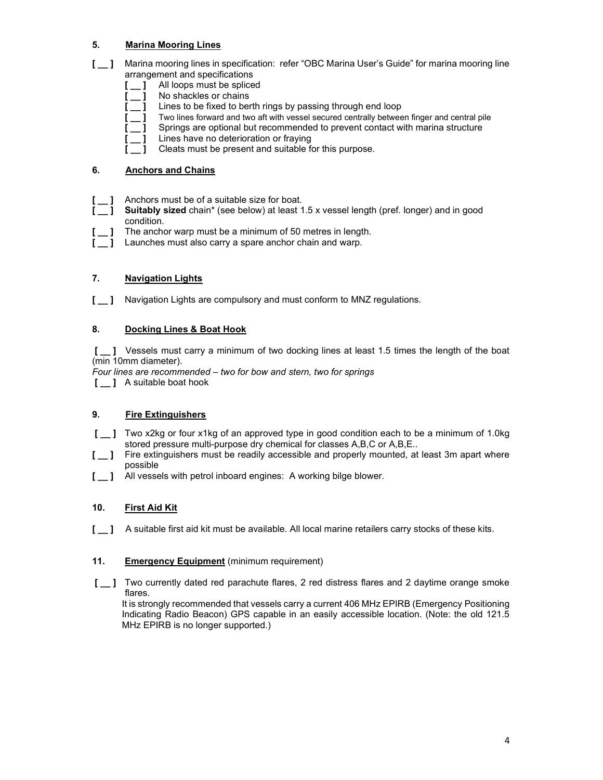# 5. Marina Mooring Lines

- [  $\Box$  ] Marina mooring lines in specification: refer "OBC Marina User's Guide" for marina mooring line arrangement and specifications
	- [  $\Box$  ] All loops must be spliced
		- $\_$  ] No shackles or chains
	- 1 Lines to be fixed to berth rings by passing through end loop
	- Two lines forward and two aft with vessel secured centrally between finger and central pile
	- Springs are optional but recommended to prevent contact with marina structure
	- Lines have no deterioration or fraying
	- Cleats must be present and suitable for this purpose.

## 6. Anchors and Chains

- [  $\Box$  ] Anchors must be of a suitable size for boat.
	- Suitably sized chain\* (see below) at least 1.5 x vessel length (pref. longer) and in good condition.
	- The anchor warp must be a minimum of 50 metres in length.
- Launches must also carry a spare anchor chain and warp.

# 7. Navigation Lights

[  $\_$  ] Navigation Lights are compulsory and must conform to MNZ regulations.

# 8. Docking Lines & Boat Hook

[  $\Box$  ] Vessels must carry a minimum of two docking lines at least 1.5 times the length of the boat (min 10mm diameter).

- Four lines are recommended two for bow and stern, two for springs
- [ ] A suitable boat hook

## 9. Fire Extinguishers

- [  $\Box$  ] Two x2kg or four x1kg of an approved type in good condition each to be a minimum of 1.0kg stored pressure multi-purpose dry chemical for classes A,B,C or A,B,E..
- [  $\Box$  ] Fire extinguishers must be readily accessible and properly mounted, at least 3m apart where possible
- [  $\Box$  ] All vessels with petrol inboard engines: A working bilge blower.

## 10. First Aid Kit

[  $\Box$  ] A suitable first aid kit must be available. All local marine retailers carry stocks of these kits.

## 11. **Emergency Equipment** (minimum requirement)

[  $\Box$  ] Two currently dated red parachute flares, 2 red distress flares and 2 daytime orange smoke flares.

It is strongly recommended that vessels carry a current 406 MHz EPIRB (Emergency Positioning Indicating Radio Beacon) GPS capable in an easily accessible location. (Note: the old 121.5 MHz EPIRB is no longer supported.)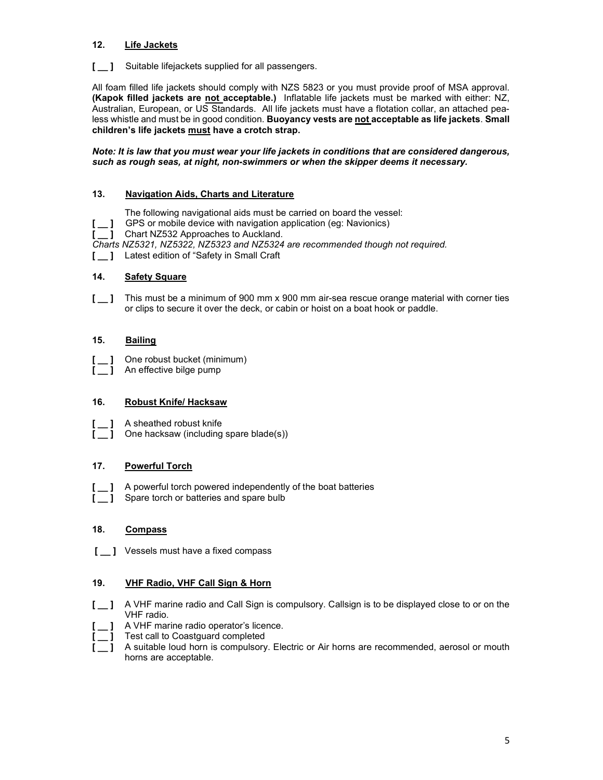# 12. Life Jackets

[  $\Box$  ] Suitable lifejackets supplied for all passengers.

All foam filled life jackets should comply with NZS 5823 or you must provide proof of MSA approval. (Kapok filled jackets are not acceptable.) Inflatable life jackets must be marked with either: NZ, Australian, European, or US Standards. All life jackets must have a flotation collar, an attached pealess whistle and must be in good condition. Buoyancy vests are not acceptable as life jackets. Small children's life jackets must have a crotch strap.

Note: It is law that you must wear your life jackets in conditions that are considered dangerous, such as rough seas, at night, non-swimmers or when the skipper deems it necessary.

## 13. Navigation Aids, Charts and Literature

The following navigational aids must be carried on board the vessel:

- GPS or mobile device with navigation application (eg: Navionics)
- $\begin{bmatrix} \_ \_ \_ \_ \end{bmatrix}$  GPS or mobile device with navigation of  $\begin{bmatrix} \_ \_ \_ \end{bmatrix}$  Chart NZ532 Approaches to Auckland.

Charts NZ5321, NZ5322, NZ5323 and NZ5324 are recommended though not required.

[  $\Box$  ] Latest edition of "Safety in Small Craft

# 14. Safety Square

[  $\Box$  ] This must be a minimum of 900 mm x 900 mm air-sea rescue orange material with corner ties or clips to secure it over the deck, or cabin or hoist on a boat hook or paddle.

# 15. Bailing

One robust bucket (minimum)

1 An effective bilge pump

## 16. Robust Knife/ Hacksaw

- [  $\Box$  A sheathed robust knife
	- 1 One hacksaw (including spare blade(s))

# 17. Powerful Torch

[  $\Box$  ] A powerful torch powered independently of the boat batteries Spare torch or batteries and spare bulb

## 18. Compass

[  $\blacksquare$  Vessels must have a fixed compass

## 19. VHF Radio, VHF Call Sign & Horn

- [  $\Box$  ] A VHF marine radio and Call Sign is compulsory. Callsign is to be displayed close to or on the VHF radio.
- [  $\Box$  ] A VHF marine radio operator's licence.
- [ \_\_ ] Test call to Coastguard completed
- [  $\blacksquare$  A suitable loud horn is compulsory. Electric or Air horns are recommended, aerosol or mouth horns are acceptable.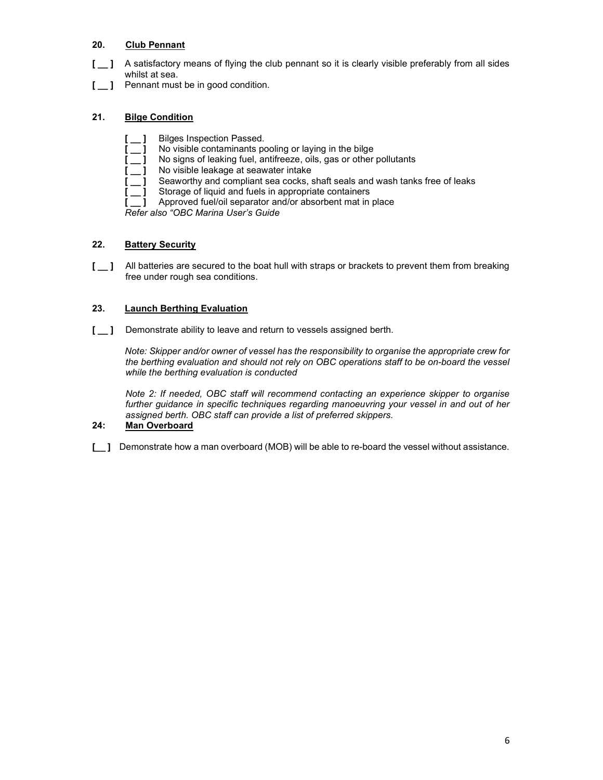# 20. Club Pennant

- [  $\Box$  ] A satisfactory means of flying the club pennant so it is clearly visible preferably from all sides whilst at sea.
- [  $\Box$  Pennant must be in good condition.

# 21. Bilge Condition

- Bilges Inspection Passed.
- No visible contaminants pooling or laying in the bilge
- No signs of leaking fuel, antifreeze, oils, gas or other pollutants
- No visible leakage at seawater intake
	- Seaworthy and compliant sea cocks, shaft seals and wash tanks free of leaks
- $\overline{1}$  Storage of liquid and fuels in appropriate containers
- 1 Approved fuel/oil separator and/or absorbent mat in place

Refer also "OBC Marina User's Guide

# 22. Battery Security

[  $\Box$  ] All batteries are secured to the boat hull with straps or brackets to prevent them from breaking free under rough sea conditions.

# 23. Launch Berthing Evaluation

[  $\Box$  ] Demonstrate ability to leave and return to vessels assigned berth.

Note: Skipper and/or owner of vessel has the responsibility to organise the appropriate crew for the berthing evaluation and should not rely on OBC operations staff to be on-board the vessel while the berthing evaluation is conducted

Note 2: If needed, OBC staff will recommend contacting an experience skipper to organise further guidance in specific techniques regarding manoeuvring your vessel in and out of her assigned berth. OBC staff can provide a list of preferred skippers.

## 24: Man Overboard

[  $\blacksquare$  ] Demonstrate how a man overboard (MOB) will be able to re-board the vessel without assistance.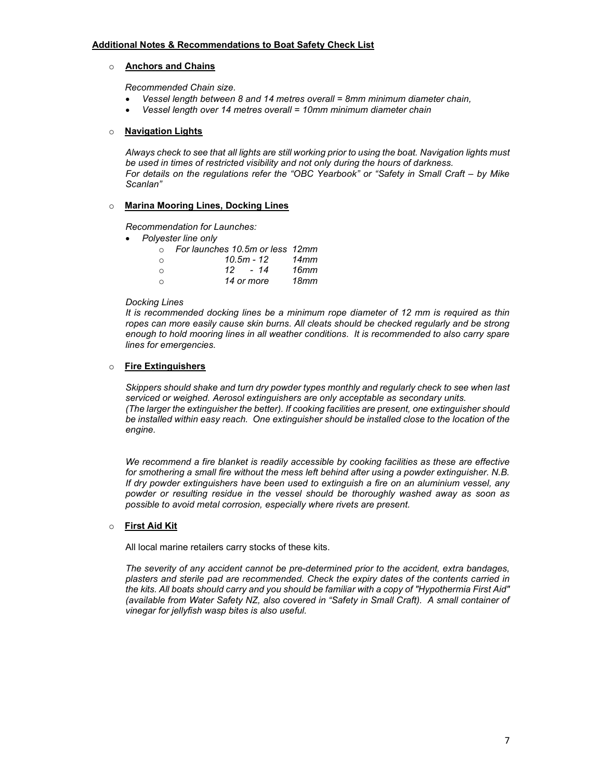## o Anchors and Chains

Recommended Chain size.

- Vessel length between 8 and 14 metres overall = 8mm minimum diameter chain,
- Vessel length over 14 metres overall = 10mm minimum diameter chain

#### o Navigation Lights

Always check to see that all lights are still working prior to using the boat. Navigation lights must be used in times of restricted visibility and not only during the hours of darkness. For details on the regulations refer the "OBC Yearbook" or "Safety in Small Craft – by Mike Scanlan"

#### o Marina Mooring Lines, Docking Lines

Recommendation for Launches:

• Polyester line only

| $\Omega$ | For launches 10.5m or less 12mm |      |
|----------|---------------------------------|------|
| $\circ$  | $10.5m - 12$                    | 14mm |
| $\circ$  | 12 - 14                         | 16mm |
| $\circ$  | 14 or more                      | 18mm |

#### Docking Lines

It is recommended docking lines be a minimum rope diameter of 12 mm is required as thin ropes can more easily cause skin burns. All cleats should be checked regularly and be strong enough to hold mooring lines in all weather conditions. It is recommended to also carry spare lines for emergencies.

## o Fire Extinguishers

Skippers should shake and turn dry powder types monthly and regularly check to see when last serviced or weighed. Aerosol extinguishers are only acceptable as secondary units. (The larger the extinguisher the better). If cooking facilities are present, one extinguisher should be installed within easy reach. One extinguisher should be installed close to the location of the engine.

We recommend a fire blanket is readily accessible by cooking facilities as these are effective for smothering a small fire without the mess left behind after using a powder extinguisher. N.B. If dry powder extinguishers have been used to extinguish a fire on an aluminium vessel, any powder or resulting residue in the vessel should be thoroughly washed away as soon as possible to avoid metal corrosion, especially where rivets are present.

## o First Aid Kit

All local marine retailers carry stocks of these kits.

The severity of any accident cannot be pre-determined prior to the accident, extra bandages, plasters and sterile pad are recommended. Check the expiry dates of the contents carried in the kits. All boats should carry and you should be familiar with a copy of "Hypothermia First Aid" (available from Water Safety NZ, also covered in "Safety in Small Craft). A small container of vinegar for jellyfish wasp bites is also useful.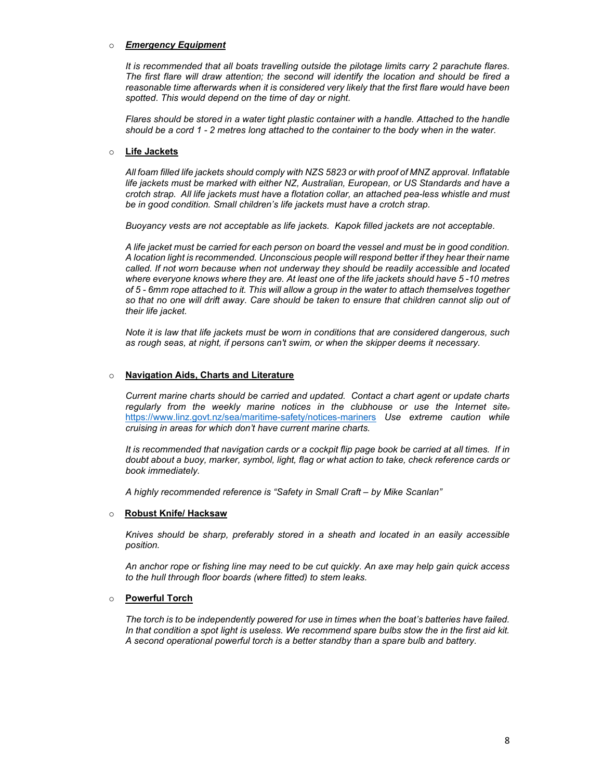#### o Emergency Equipment

It is recommended that all boats travelling outside the pilotage limits carry 2 parachute flares. The first flare will draw attention; the second will identify the location and should be fired a reasonable time afterwards when it is considered very likely that the first flare would have been spotted. This would depend on the time of day or night.

Flares should be stored in a water tight plastic container with a handle. Attached to the handle should be a cord 1 - 2 metres long attached to the container to the body when in the water.

#### o Life Jackets

All foam filled life jackets should comply with NZS 5823 or with proof of MNZ approval. Inflatable life jackets must be marked with either NZ, Australian, European, or US Standards and have a crotch strap. All life jackets must have a flotation collar, an attached pea-less whistle and must be in good condition. Small children's life jackets must have a crotch strap.

Buoyancy vests are not acceptable as life jackets. Kapok filled jackets are not acceptable.

A life jacket must be carried for each person on board the vessel and must be in good condition. A location light is recommended. Unconscious people will respond better if they hear their name called. If not worn because when not underway they should be readily accessible and located where everyone knows where they are. At least one of the life jackets should have 5-10 metres of 5 - 6mm rope attached to it. This will allow a group in the water to attach themselves together so that no one will drift away. Care should be taken to ensure that children cannot slip out of their life jacket.

Note it is law that life jackets must be worn in conditions that are considered dangerous, such as rough seas, at night, if persons can't swim, or when the skipper deems it necessary.

## o Navigation Aids, Charts and Literature

Current marine charts should be carried and updated. Contact a chart agent or update charts regularly from the weekly marine notices in the clubhouse or use the Internet sitehttps://www.linz.govt.nz/sea/maritime-safety/notices-mariners Use extreme caution while cruising in areas for which don't have current marine charts.

It is recommended that navigation cards or a cockpit flip page book be carried at all times. If in doubt about a buoy, marker, symbol, light, flag or what action to take, check reference cards or book immediately.

A highly recommended reference is "Safety in Small Craft – by Mike Scanlan"

#### o Robust Knife/ Hacksaw

Knives should be sharp, preferably stored in a sheath and located in an easily accessible position.

An anchor rope or fishing line may need to be cut quickly. An axe may help gain quick access to the hull through floor boards (where fitted) to stem leaks.

#### o Powerful Torch

The torch is to be independently powered for use in times when the boat's batteries have failed. In that condition a spot light is useless. We recommend spare bulbs stow the in the first aid kit. A second operational powerful torch is a better standby than a spare bulb and battery.